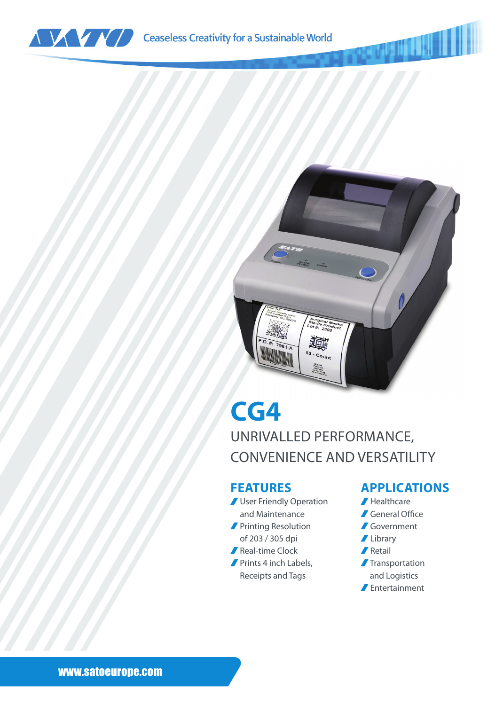



## **CG4**

UNRIVALLED PERFORMANCE, CONVENIENCE AND VERSATILITY

## **FEATURES**

- **J** User Friendly Operation and Maintenance **Printing Resolution**
- of 203 / 305 dpi
- Real-time Clock
- Prints 4 inch Labels, Receipts and Tags

## **APPLICATIONS**

- Healthcare
- General Office
- Government
- **Library**
- **A** Retail
- **Transportation** and Logistics
- Entertainment

www.satoeurope.com